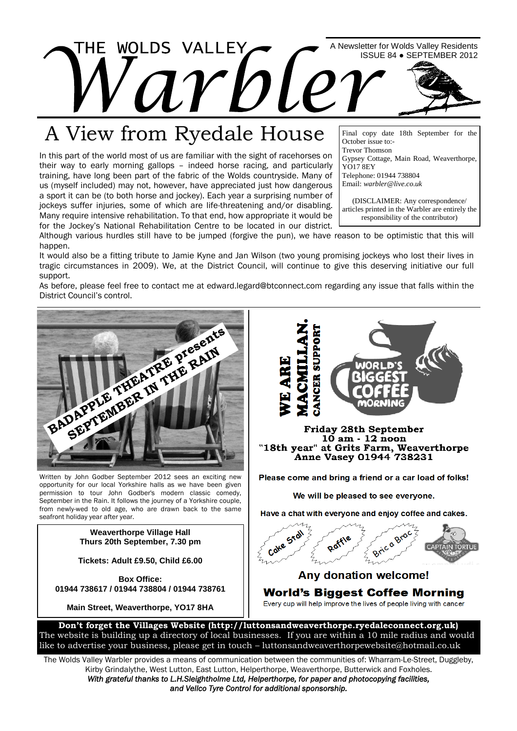

## A View from Ryedale House

In this part of the world most of us are familiar with the sight of racehorses on their way to early morning gallops – indeed horse racing, and particularly training, have long been part of the fabric of the Wolds countryside. Many of us (myself included) may not, however, have appreciated just how dangerous a sport it can be (to both horse and jockey). Each year a surprising number of jockeys suffer injuries, some of which are life-threatening and/or disabling. Many require intensive rehabilitation. To that end, how appropriate it would be for the Jockey's National Rehabilitation Centre to be located in our district.

Final copy date 18th September for the October issue to:- Trevor Thomson Gypsey Cottage, Main Road, Weaverthorpe, YO17 8EY Telephone: 01944 738804 Email: *warbler@live.co.uk*

(DISCLAIMER: Any correspondence/ articles printed in the Warbler are entirely the responsibility of the contributor)

Although various hurdles still have to be jumped (forgive the pun), we have reason to be optimistic that this will happen.

It would also be a fitting tribute to Jamie Kyne and Jan Wilson (two young promising jockeys who lost their lives in tragic circumstances in 2009). We, at the District Council, will continue to give this deserving initiative our full support.

As before, please feel free to contact me at edward.legard@btconnect.com regarding any issue that falls within the District Council's control.



Written by John Godber September 2012 sees an exciting new opportunity for our local Yorkshire halls as we have been given permission to tour John Godber's modern classic comedy, September in the Rain. It follows the journey of a Yorkshire couple, from newly-wed to old age, who are drawn back to the same seafront holiday year after year.

> **Weaverthorpe Village Hall Thurs 20th September, 7.30 pm**

**Tickets: Adult £9.50, Child £6.00**

**Box Office: 01944 738617 / 01944 738804 / 01944 738761**

**Main Street, Weaverthorpe, YO17 8HA**





### **Any donation welcome! World's Biggest Coffee Morning** Every cup will help improve the lives of people living with cancer

**Don't forget the Villages Website (http://luttonsandweaverthorpe.ryedaleconnect.org.uk)** The website is building up a directory of local businesses. If you are within a 10 mile radius and would like to advertise your business, please get in touch – luttonsandweaverthorpewebsite@hotmail.co.uk

The Wolds Valley Warbler provides a means of communication between the communities of: Wharram-Le-Street, Duggleby, Kirby Grindalythe, West Lutton, East Lutton, Helperthorpe, Weaverthorpe, Butterwick and Foxholes.

*With grateful thanks to L.H.Sleightholme Ltd, Helperthorpe, for paper and photocopying facilities, and Vellco Tyre Control for additional sponsorship.*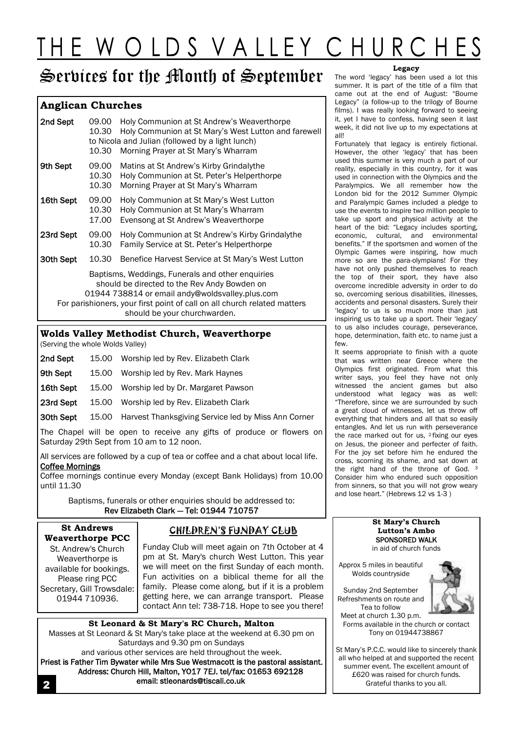# THE WOLDS VALLEY CHURCHES

## Services for the Month of September

### **Anglican Churches**

| 09.00<br>10.30                                                                                                                                                                                                                                                  | Holy Communion at St Andrew's Weaverthorpe<br>Holy Communion at St Mary's West Lutton and farewell<br>to Nicola and Julian (followed by a light lunch)<br>Morning Prayer at St Mary's Wharram |  |
|-----------------------------------------------------------------------------------------------------------------------------------------------------------------------------------------------------------------------------------------------------------------|-----------------------------------------------------------------------------------------------------------------------------------------------------------------------------------------------|--|
| 09.00<br>10.30<br>10.30                                                                                                                                                                                                                                         | Matins at St Andrew's Kirby Grindalythe<br>Holy Communion at St. Peter's Helperthorpe<br>Morning Prayer at St Mary's Wharram                                                                  |  |
| 09.00<br>10.30<br>17.00                                                                                                                                                                                                                                         | Holy Communion at St Mary's West Lutton<br>Holy Communion at St Mary's Wharram<br>Evensong at St Andrew's Weaverthorpe                                                                        |  |
| 09.00<br>10.30                                                                                                                                                                                                                                                  | Holy Communion at St Andrew's Kirby Grindalythe<br>Family Service at St. Peter's Helperthorpe                                                                                                 |  |
| 10.30                                                                                                                                                                                                                                                           | Benefice Harvest Service at St Mary's West Lutton                                                                                                                                             |  |
| Baptisms, Weddings, Funerals and other enquiries<br>should be directed to the Rev Andy Bowden on<br>01944 738814 or email andy@woldsvalley.plus.com<br>For parishioners, your first point of call on all church related matters<br>should be your churchwarden. |                                                                                                                                                                                               |  |
|                                                                                                                                                                                                                                                                 | 10.30                                                                                                                                                                                         |  |

### **Wolds Valley Methodist Church, Weaverthorpe**

(Serving the whole Wolds Valley)

| 2nd Sept  | 15.00 Worship led by Rev. Elizabeth Clark                 |
|-----------|-----------------------------------------------------------|
| 9th Sept  | 15.00 Worship led by Rev. Mark Haynes                     |
| 16th Sept | 15.00 Worship led by Dr. Margaret Pawson                  |
| 23rd Sept | 15.00 Worship led by Rev. Elizabeth Clark                 |
| 30th Sept | 15.00 Harvest Thanksgiving Service led by Miss Ann Corner |
|           |                                                           |

The Chapel will be open to receive any gifts of produce or flowers on Saturday 29th Sept from 10 am to 12 noon.

All services are followed by a cup of tea or coffee and a chat about local life. Coffee Mornings

Coffee mornings continue every Monday (except Bank Holidays) from 10.00 until 11.30

Baptisms, funerals or other enquiries should be addressed to: Rev Elizabeth Clark — Tel: 01944 710757

### **St Andrews Weaverthorpe PCC** St. Andrew's Church

Weaverthorpe is available for bookings. Please ring PCC Secretary, Gill Trowsdale: 01944 710936.

### CHILDREN'S FUNDAY CLUB

Funday Club will meet again on 7th October at 4 pm at St. Mary's church West Lutton. This year we will meet on the first Sunday of each month. Fun activities on a biblical theme for all the family. Please come along, but if it is a problem getting here, we can arrange transport. Please contact Ann tel: 738-718. Hope to see you there!

**St Leonard & St Mary's RC Church, Malton** Masses at St Leonard & St Mary's take place at the weekend at 6.30 pm on Saturdays and 9.30 pm on Sundays and various other services are held throughout the week. Priest is Father Tim Bywater while Mrs Sue Westmacott is the pastoral assistant. Address: Church Hill, Malton, YO17 7EJ. tel/fax: 01653 692128 email: stleonards@tiscali.co.uk 2

### **Legacy**

The word 'legacy' has been used a lot this summer. It is part of the title of a film that came out at the end of August: "Bourne Legacy" (a follow-up to the trilogy of Bourne films). I was really looking forward to seeing it, yet I have to confess, having seen it last week, it did not live up to my expectations at all!

Fortunately that legacy is entirely fictional. However, the other 'legacy' that has been used this summer is very much a part of our reality, especially in this country, for it was used in connection with the Olympics and the Paralympics. We all remember how the London bid for the 2012 Summer Olympic and Paralympic Games included a pledge to use the events to inspire two million people to take up sport and physical activity at the heart of the bid: "Legacy includes sporting, economic, cultural, and environmental benefits." If the sportsmen and women of the Olympic Games were inspiring, how much more so are the para-olympians! For they have not only pushed themselves to reach the top of their sport, they have also overcome incredible adversity in order to do so, overcoming serious disabilities, illnesses, accidents and personal disasters. Surely their 'legacy' to us is so much more than just inspiring us to take up a sport. Their 'legacy' to us also includes courage, perseverance, hope, determination, faith etc. to name just a few.

It seems appropriate to finish with a quote that was written near Greece where the Olympics first originated. From what this writer says, you feel they have not only witnessed the ancient games but also understood what legacy was as well: "Therefore, since we are surrounded by such a great cloud of witnesses, let us throw off everything that hinders and all that so easily entangles. And let us run with perseverance the race marked out for us, <sup>2</sup> fixing our eyes on Jesus, the pioneer and perfecter of faith. For the joy set before him he endured the cross, scorning its shame, and sat down at the right hand of the throne of God. <sup>3</sup> Consider him who endured such opposition from sinners, so that you will not grow weary and lose heart." (Hebrews 12 vs 1-3 )

### **St Mary's Church Lutton's Ambo** SPONSORED WALK in aid of church funds

Approx 5 miles in beautiful Wolds countryside

Sunday 2nd September Refreshments on route and Tea to follow



Meet at church 1.30 p.m. Forms available in the church or contact Tony on 01944738867

St Mary's P.C.C. would like to sincerely thank all who helped at and supported the recent summer event. The excellent amount of £620 was raised for church funds. Grateful thanks to you all.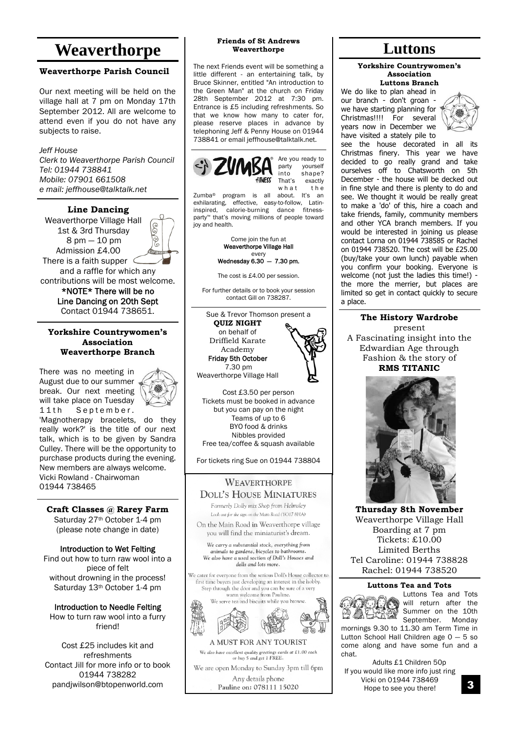## **Weaverthorpe Luttons**

### **Weaverthorpe Parish Council**

Our next meeting will be held on the village hall at 7 pm on Monday 17th September 2012. All are welcome to attend even if you do not have any subjects to raise.

*Jeff House Clerk to Weaverthorpe Parish Council Tel: 01944 738841 Mobile: 07901 661508 e mail: jeffhouse@talktalk.net*

**Line Dancing** Weaverthorpe Village Hall 6 1st & 3rd Thursday ଚୃ 8 pm — 10 pm Admission £4.00 Kiton There is a faith supper and a raffle for which any contributions will be most welcome. \*NOTE\* There will be no Line Dancing on 20th Sept

**Yorkshire Countrywomen's Association Weaverthorpe Branch**

Contact 01944 738651.

There was no meeting in August due to our summer break. Our next meeting will take place on Tuesday 11th September.



'Magnotherapy bracelets, do they really work?' is the title of our next talk, which is to be given by Sandra Culley. There will be the opportunity to purchase products during the evening. New members are always welcome. Vicki Rowland - Chairwoman 01944 738465

**Craft Classes @ Rarey Farm** Saturday 27<sup>th</sup> October 1-4 pm (please note change in date)

Introduction to Wet Felting Find out how to turn raw wool into a piece of felt without drowning in the process! Saturday 13<sup>th</sup> October 1-4 pm

Introduction to Needle Felting How to turn raw wool into a furry friend!

Cost £25 includes kit and refreshments Contact Jill for more info or to book 01944 738282 pandjwilson@btopenworld.com

### **Friends of St Andrews Weaverthorpe**

The next Friends event will be something a little different - an entertaining talk, by Bruce Skinner, entitled "An introduction to the Green Man" at the church on Friday 28th September 2012 at 7:30 pm. Entrance is £5 including refreshments. So that we know how many to cater for, please reserve places in advance by telephoning Jeff & Penny House on 01944 738841 or email jeffhouse@talktalk.net.



party yourself into shape? That's exactly<br>what the  $w$  h a t

Zumba® program is all about. It's an exhilarating, effective, easy-to-follow, Latin-<br>inspired, calorie-burning dance fitness $inspi$ red, calorie-burning dance party™ that's moving millions of people toward joy and health.



The cost is £4.00 per session.

For further details or to book your session contact Gill on 738287.

Sue & Trevor Thomson present a **QUIZ NIGHT** on behalf of

Driffield Karate Academy Friday 5th October

7.30 pm



Cost £3.50 per person Tickets must be booked in advance but you can pay on the night Teams of up to 6 BYO food & drinks

Nibbles provided Free tea/coffee & squash available

For tickets ring Sue on 01944 738804

### **WEAVERTHORPE DOLL'S HOUSE MINIATURES**

Formerly Dolly mix Shop from Helmsley Look out for the sign on the Main Road (YO17 8HA)

On the Main Road in Weaverthorpe village you will find the miniaturist's dream.

We carry a substantial stock, everything from animals to gardens, bicycles to bathrooms. We also have a used section of Doll's Houses and dolls and lots more.

We cater for everyone from the serious Doll's House collector to first time buyers just developing an interest in the hobby. Step through the door and you can be sure of a very warm welcome from Pauline. We serve tea and biscuits while you brow



A MUST FOR ANY TOURIST We also have excellent quality greetings cards at £1.00 each or buy 5 and get 1 FREE. We are open Monday to Sunday 3pm till 6pm

Any details phone Pauline on: 078111 15020

### **Yorkshire Countrywomen's Association Luttons Branch**

We do like to plan ahead in our branch - don't groan we have starting planning for Christmas!!!! For several years now in December we have visited a stately pile to



see the house decorated in all its Christmas finery. This year we have decided to go really grand and take ourselves off to Chatsworth on 5th December - the house will be decked out in fine style and there is plenty to do and see. We thought it would be really great to make a 'do' of this, hire a coach and take friends, family, community members and other YCA branch members. If you would be interested in joining us please contact Lorna on 01944 738585 or Rachel on 01944 738520. The cost will be £25.00 (buy/take your own lunch) payable when you confirm your booking. Everyone is welcome (not just the ladies this time!) the more the merrier, but places are limited so get in contact quickly to secure a place.

### **The History Wardrobe**

present A Fascinating insight into the Edwardian Age through Fashion & the story of **RMS TITANIC**



**Thursday 8th November** Weaverthorpe Village Hall Boarding at 7 pm Tickets: £10.00 Limited Berths Tel Caroline: 01944 738828 Rachel: 01944 738520

### **Luttons Tea and Tots**



Luttons Tea and Tots will return after the Summer on the 10th September. Monday

mornings 9.30 to 11.30 am Term Time in Lutton School Hall Children age  $0 - 5$  so come along and have some fun and a chat.

Adults £1 Children 50p If you would like more info just ring Vicki on 01944 738469 Hope to see you there!